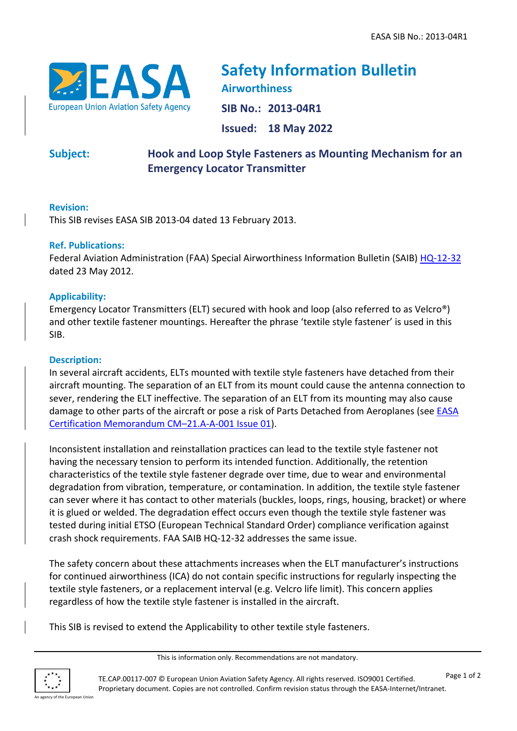

**Safety Information Bulletin Airworthiness SIB No.: 2013-04R1 Issued: 18 May 2022**

**Subject: Hook and Loop Style Fasteners as Mounting Mechanism for an Emergency Locator Transmitter**

# **Revision:**

This SIB revises EASA SIB 2013-04 dated 13 February 2013.

## **Ref. Publications:**

Federal Aviation Administration (FAA) Special Airworthiness Information Bulletin (SAIB) [HQ-12-32](https://rgl.faa.gov/Regulatory_and_Guidance_Library/rgSAIB.nsf/0/113dbba8ce192de286257a0700582093/$FILE/HQ-12-32.pdf) dated 23 May 2012.

## **Applicability:**

Emergency Locator Transmitters (ELT) secured with hook and loop (also referred to as Velcro®) and other textile fastener mountings. Hereafter the phrase 'textile style fastener' is used in this SIB.

## **Description:**

In several aircraft accidents, ELTs mounted with textile style fasteners have detached from their aircraft mounting. The separation of an ELT from its mount could cause the antenna connection to sever, rendering the ELT ineffective. The separation of an ELT from its mounting may also cause damage to other parts of the aircraft or pose a risk of Parts Detached from Aeroplanes (see [EASA](https://www.easa.europa.eu/document-library/product-certification-consultations/easa-cm-21a-001)  [Certification Memorandum](https://www.easa.europa.eu/document-library/product-certification-consultations/easa-cm-21a-001) CM–21.A-A-001 Issue 01).

Inconsistent installation and reinstallation practices can lead to the textile style fastener not having the necessary tension to perform its intended function. Additionally, the retention characteristics of the textile style fastener degrade over time, due to wear and environmental degradation from vibration, temperature, or contamination. In addition, the textile style fastener can sever where it has contact to other materials (buckles, loops, rings, housing, bracket) or where it is glued or welded. The degradation effect occurs even though the textile style fastener was tested during initial ETSO (European Technical Standard Order) compliance verification against crash shock requirements. FAA SAIB HQ-12-32 addresses the same issue.

The safety concern about these attachments increases when the ELT manufacturer's instructions for continued airworthiness (ICA) do not contain specific instructions for regularly inspecting the textile style fasteners, or a replacement interval (e.g. Velcro life limit). This concern applies regardless of how the textile style fastener is installed in the aircraft.

This SIB is revised to extend the Applicability to other textile style fasteners.

This is information only. Recommendations are not mandatory.